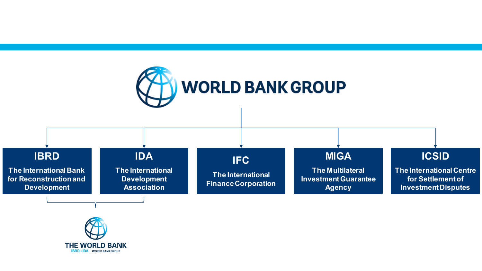

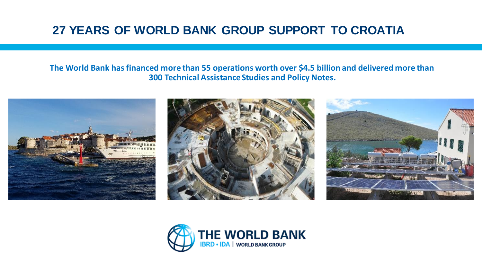## **27 YEARS OF WORLD BANK GROUP SUPPORT TO CROATIA**

#### **The World Bank has financed more than 55 operations worth over \$4.5 billion and delivered more than 300 Technical Assistance Studies and Policy Notes.**







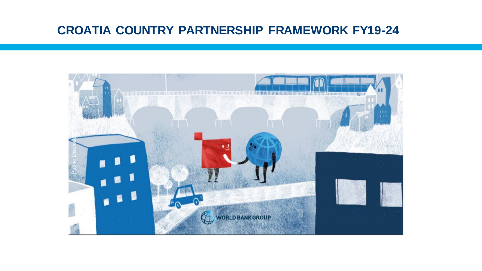## **CROATIA COUNTRY PARTNERSHIP FRAMEWORK FY19-24**

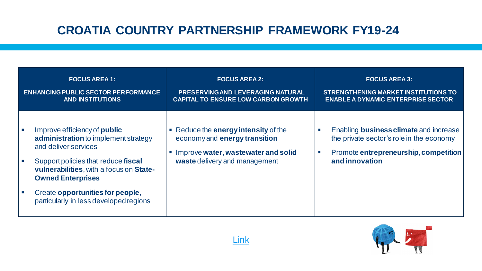# **CROATIA COUNTRY PARTNERSHIP FRAMEWORK FY19-24**

| <b>FOCUS AREA 1:</b><br><b>ENHANCING PUBLIC SECTOR PERFORMANCE</b><br><b>AND INSTITUTIONS</b>                                                                                                                     | <b>FOCUS AREA 2:</b><br>PRESERVING AND LEVERAGING NATURAL<br><b>CAPITAL TO ENSURE LOW CARBON GROWTH</b>                                                                      | <b>FOCUS AREA 3:</b><br><b>STRENGTHENING MARKET INSTITUTIONS TO</b><br><b>ENABLE A DYNAMIC ENTERPRISE SECTOR</b>                                                            |
|-------------------------------------------------------------------------------------------------------------------------------------------------------------------------------------------------------------------|------------------------------------------------------------------------------------------------------------------------------------------------------------------------------|-----------------------------------------------------------------------------------------------------------------------------------------------------------------------------|
| Improve efficiency of <b>public</b><br>administration to implement strategy<br>and deliver services<br>Support policies that reduce fiscal<br>vulnerabilities, with a focus on State-<br><b>Owned Enterprises</b> | • Reduce the energy intensity of the<br>economy and energy transition<br>Improve water, wastewater and solid<br>$\mathcal{L}_{\mathcal{A}}$<br>waste delivery and management | Enabling <b>business climate</b> and increase<br>W.<br>the private sector's role in the economy<br>Promote entrepreneurship, competition<br>$\mathcal{C}$<br>and innovation |
| Create opportunities for people,<br>particularly in less developed regions                                                                                                                                        |                                                                                                                                                                              |                                                                                                                                                                             |



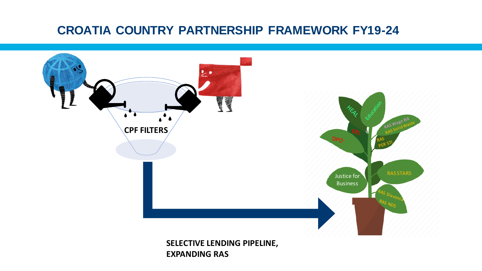## **CROATIA COUNTRY PARTNERSHIP FRAMEWORK FY19-24**

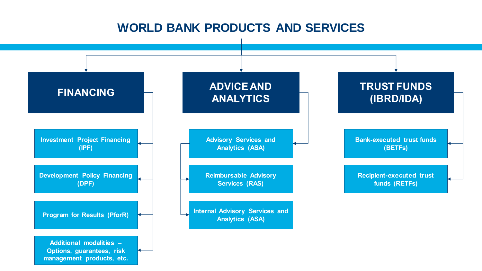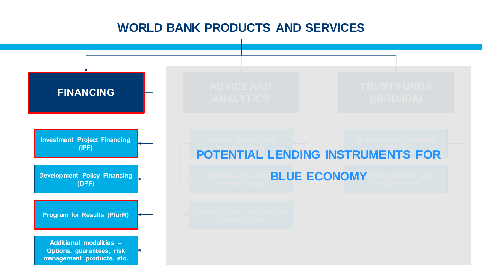## **WORLD BANK PRODUCTS AND SERVICES**